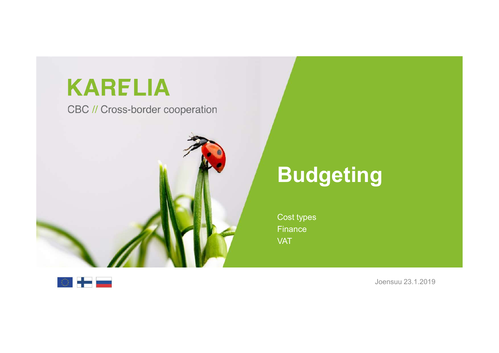## **KARELIA**

CBC // Cross-border cooperation



## Budgeting **Pudgeting**<br>
Cost types<br>
Cost types<br>
Finance<br>
VAT

**Finance** VAT



Joensuu 23.1.2019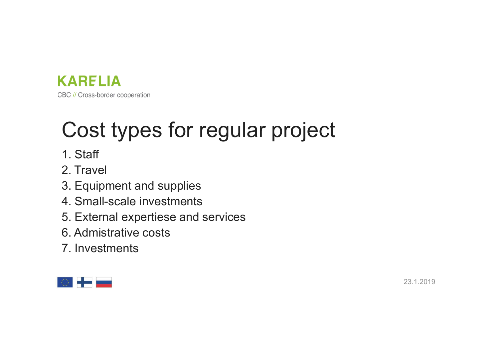

# **Example LIA**<br>BC//Cross-border cooperation<br>**Cost types for regular project**<br>1. Staff<br>2. Travel **EDETTA BC//Cross-border cooperation**<br> **COSt types for regular project**<br>
1. Staff<br>
2. Travel<br>
3. Equipment and supplies<br>
4. Small-scale investments<br>
5. External expertiese and services<br>
6. Admistrative costs

- 1. Staff
- 2. Travel
- 3. Equipment and supplies
- 
- 5. External expertiese and services
- 6. Admistrative costs
- 7. Investments

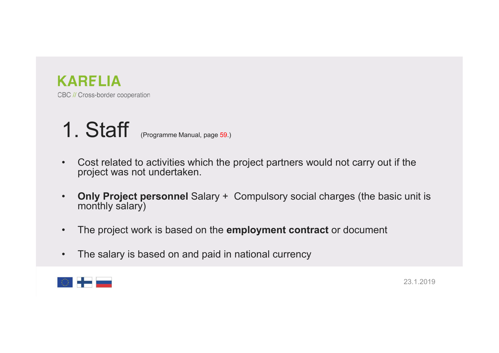



- Cost related to activities which the project partners would not carry out if the<br>• Cost related to activities which the project partners would not carry out if the<br>• Only Project personnel Salary + Compulsory social char
- **ARELIA**<br> **1. Staff** (Programme Manual, page 59.)<br>
 Cost related to activities which the project partners would not carry out if the<br>  **Only Project personnel** Salary + Compulsory social charges (the basic unit is<br>
 The RELIA<br>
Cross-border cooperation<br>
Cost related to activities which the project partners v<br>
project was not undertaken.<br>
Only Project personnel Salary + Compulsory socia<br>
monthly salary)<br>
The project work is based on the emp FRICH SC // Cross-border cooperation<br>
• Cost related to activities which the project partners would not carry out if the<br>
project was not undertaken.<br>
• Only Project personnel Salary + Compulsory social charges (the basic 1. Staff (Programme Manual, page 59.)<br>• Cost related to activities which the project partners would not carry out if the<br>project was not undertaken.<br>• Only Project personnel Salary + Compulsory social charges (the basic un
- 
- 

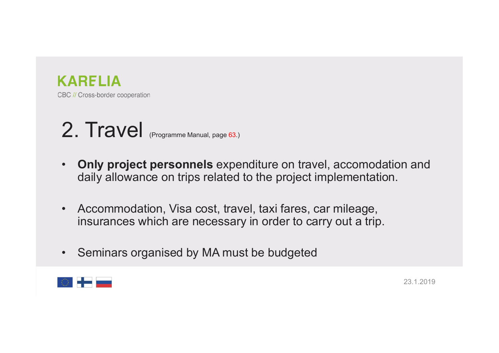

### 2. Travel (Programme Manual, page 63.)

- EC // Cross-border cooperation<br>
2. Travel (Programme Manual, page 63.)<br>
 Only project personnels expenditure on travel, accomodation and daily allowance on trips related to the project implementation. **RELIA**<br>
Cross-border cooperation<br> **Circle (Programme Manual, page 63.)**<br> **Only project personnels** expenditure on travel, accomodation and<br>
daily allowance on trips related to the project implementation.<br>
Accommodation, V EC // Cross-border cooperation<br>
2. Travel (Programme Manual, page 63.)<br>
• Only project personnels expenditure on travel, accomodation and<br>
daily allowance on trips related to the project implementation.<br>
• Accommodation, V **RELIA**<br>
Coss-boder cooperation<br> **Travel** (Programme Manual, page 63.)<br> **Only project personnels** expenditure on travel, accomodation and<br>
daily allowance on trips related to the project implementation.<br>
Accommodation, Vis 2. Travel <sub>(Programme Manual, page 63.)</sub><br>• Only project personnels expenditure on travel, accomodation and daily allowance on trips related to the project implementation.<br>• Accommodation, Visa cost, travel, taxi fares, car
- 
- 

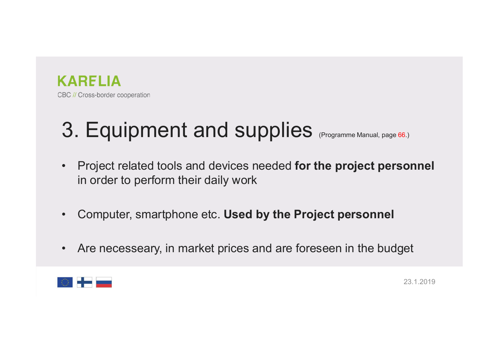

## 3. Equipment and supplies (Programme Manual, page 66.)

- **EXARELIA**<br>• BC // Cross-border cooperation<br>• Project related tools and devices needed for the project personnel in order to perform their daily work RELIA<br>
Cross-border cooperation<br> **Equipment and supplies** <sub>(Programme Manual, page 66.)<br>
Project related tools and devices needed for the project personne<br>
computer, smartphone etc. Used by the Project personnel</sub> • Computer, smartphone etc. Used by the Project personnel<br>• Computer, smartphone etc. Used by the Project personnel<br>• Computer, smartphone etc. Used by the Project personnel<br>• Are necesseary, in market prices and are fores **3. Equipment and supplies** (Programme Manual, page 66.)<br>
• Project related tools and devices needed for the project personnel<br>
in order to perform their daily work<br>
• Computer, smartphone etc. **Used by the Project person**
- 
- 

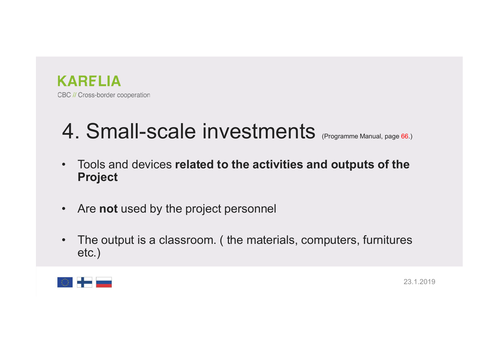

# 4. Small-scale investments (Programme Manual, page 66.)

- **EXARELIA**<br>• Consecution cooperation<br>• Tools and devices related to the activities and outputs of the Project<br>• Tools and devices related to the activities and outputs of the Project Project EC // Cross-border cooperation<br>
4. Small-scale investments <sub>(Programme Manual, page 66.)</sub><br>
• Tools and devices related to the activities and outputs of the<br>
• Are not used by the project personnel<br>
• The output is a classr
- 
- <sup>BC // Cross-border cooperation</sup><br>
 Tools and devices related to the activities and outputs of the<br>
 Tools and devices related to the activities and outputs of the<br>
 Are not used by the project personnel<br>
 The output is etc.)

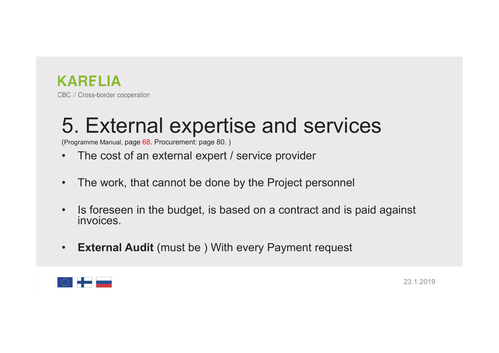

## **KARELIA**<br>BC // Cross-border cooperation<br>5. External expertise and services<br>• The cost of an external expert / service provider FRIM BE VICTOSS-border cooperation<br>
• The cost of an external expertise and services<br>
• The cost of an external expert / service provider<br>• The work, that cannot be done by the Project personnel **EXECT A BC // Cross-border cooperation**<br>
• The cost of an external expertise and services<br>
• The cost of an external expert / service provider<br>
• The work, that cannot be done by the Project personnel<br>
• Is foreseen in th

(Programme Manual, page 68. Procurement: page 80. )

- 
- 
- **EXECT ADELIA**<br> **190** *N* Cross-border cooperation<br> **5.** External experience and service and services<br>
 The cost of an external expert *l* service provider<br>
 The work, that cannot be done by the Project personnel<br>
 Is f Is foreseen in the budget, is based on a contract and is paid against invoices. **5. External experience and services**<br>
Fregramme Manual, page 68. Procurement: page 80.)<br>
• The cost of an external expert / service provider<br>
• The work, that cannot be done by the Project personnel<br>
• Is foreseen in the
- 

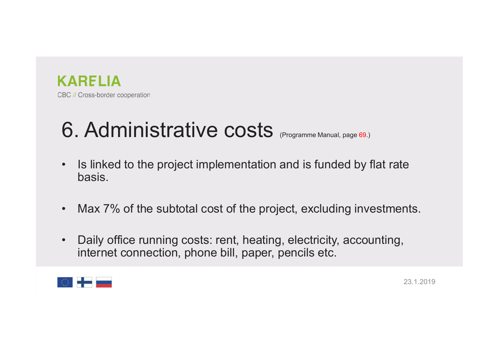

# ERELIA<br>BC // Cross-border cooperation<br>**6. Administrative costs** (Programme Manual, page 69.)<br>• Is linked to the project implementation and is funded by flat rate

- **EXARELIA**<br>• Is linked to the project implementation and is funded by flat rate<br>• Is linked to the project implementation and is funded by flat rate<br>• Linked Contemplementation and is funded by flat rate basis. EC // Cross-border cooperation<br> **6. Administrative costs** (Programme Manual, page 69.)<br>
• Is linked to the project implementation and is funded by flat rate<br>
basis.<br>
• Max 7% of the subtotal cost of the project, excluding
- 
- BC *N* Cross-border cooperation<br>
 Is linked to the project implementation and is funded by flat rate<br>
 Max 7% of the subtotal cost of the project, excluding investments.<br>
 Daily office running costs: rent, heating, el **Administrative costs** <sub>(Programme Manual, page 69.)<br>Is linked to the project implementation and is funded by flat rate<br>basis.<br>Max 7% of the subtotal cost of the project, excluding investments.<br>Daily office running costs: </sub>

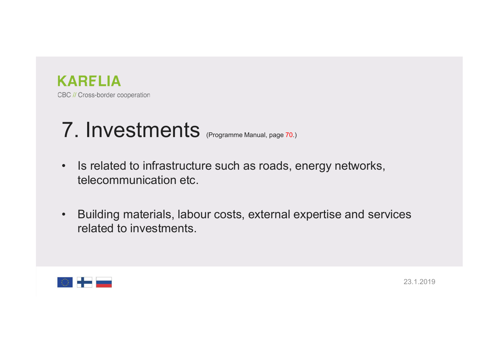

### 7. Investments (Programme Manual, page 70.)

- **EXARELIA**<br>• Is related to infrastructure such as roads, energy networks,<br>• Is related to infrastructure such as roads, energy networks,<br>• telecommunication etc. **RELIA**<br>Cross-border cooperation<br>**Investments** (Programme Manual, page 70.)<br>Is related to infrastructure such as roads, energy network<br>telecommunication etc.<br>Building materials, labour costs, external expertise and s
- FRIM BEV Cross-border cooperation<br>
 Is related to infrastructure such as roads, energy networks,<br>
 Building materials, labour costs, external expertise and services<br>
 Building materials, labour costs, external expertise RELIA<br>Cross-border cooperation<br>
Investments (Programme Manual, page 70.)<br>
Is related to infrastructure such as roads, energied<br>
Building materials, labour costs, external expended to investments.

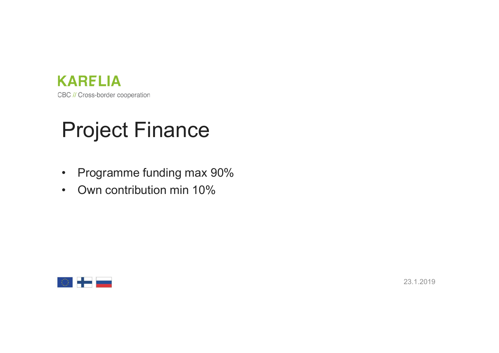

## Project Finance ERTHA<br>
BC // Cross-border cooperation<br>
Project Finance<br>
• Programme funding max 90%<br>
• Own contribution min 10% EC // Cross-border cooperation<br>Project Finance<br>• Programme funding max 90%<br>• Own contribution min 10%

- 
- 

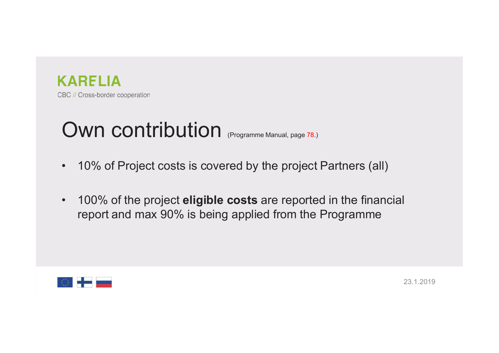

# **CARELIA**<br>BC // Cross-border cooperation<br>• 10% of Project costs is covered by the project Partners (al FRIM BC // Cross-border cooperation<br>
FRIM CONTRIDUTION (Programme Manual, page 78.)<br>
10% of Project costs is covered by the project Partners (all)<br>
100% of the project **eligible costs** are reported in the financial

- 
- FOW CONTRIBUTION<br>• 10% of Project costs is covered by the project Partners (all)<br>• 10% of the project eligible costs are reported in the financial<br>• 100% of the project eligible costs are reported in the financial<br>• report RELIA<br>
Cross-border cooperation<br>
10% of Project costs is covered by the project Partners (all)<br>
100% of the project **eligible costs** are reported in the financial<br>
report and max 90% is being applied from the Programme

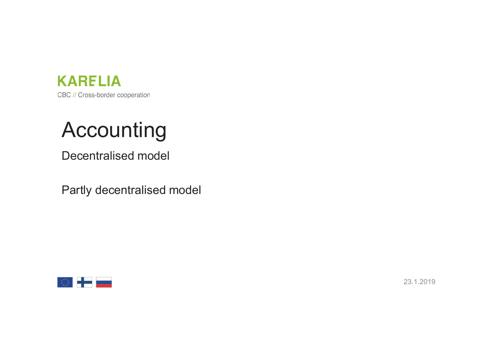

#### Accounting

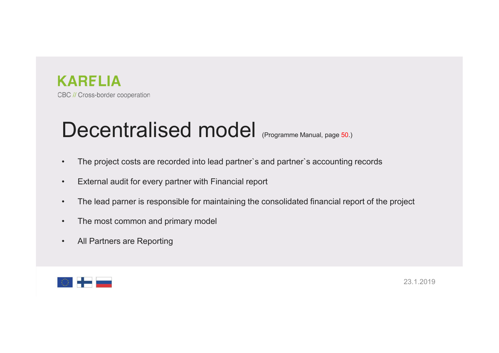

## ERELIA<br>BC // Cross-border cooperation<br>**Decentralised model** <sub>(Programme Manual, page 50.)<br>• The project costs are recorded into lead partner's and partner's accounting records</sub> • The project costs are recorded into lead partner`s and partner`s accounting records<br>• The project costs are recorded into lead partner`s and partner`s accounting records<br>• External audit for every partner with Financial EXTELIA<br>• Cross-border cooperation<br>• The project costs are recorded into lead partner's and partner's accounting records<br>• External audit for every partner with Financial report<br>• The lead parner is responsible for maintai EBC // Cross-border cooperation<br>
• The project costs are recorded into lead partner's and partner's accounting records<br>
• External audit for every partner with Financial report<br>
• The lead parner is responsible for maintai ERTELIA<br>
• The project cooperation<br>
• The project costs are recorded into lead partner's and partner's accounting records<br>
• External audit for every partner with Financial report<br>
• The lead parner is responsible for main BC // Cross-border cooperation<br> **Decentralised model** (Programme Manual, pe<br>
• The project costs are recorded into lead partner's and partner's accorded<br>
• External audit for every partner with Financial report<br>
• The lead

- 
- 
- 
- 
- 

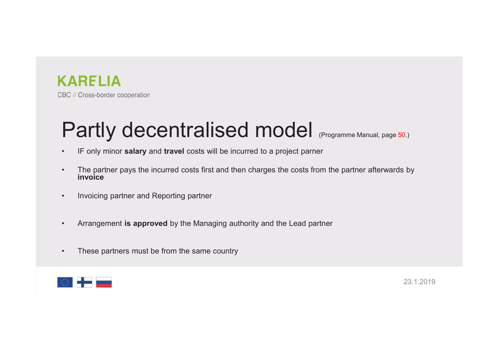

## **KARELIA**<br>BC // Cross-border cooperation<br>**Partly decentralised model** (Programme Manual, page 50.)<br>• IF only minor **salary** and travel costs will be incurred to a project parner<br>• The partner pays the incurred costs first FORTLIA<br>• IF only minor salary and travel costs will be incurred to a project parner<br>• IF only minor salary and travel costs will be incurred to a project parner<br>• The partner pays the incurred costs first and then charges Fartly decentralised model (Programme Manual, page 50.)<br>• If only minor salary and travel costs will be incurred to a project parner<br>• The partner pays the incurred costs first and then charges the costs from the partner a ERTLIA<br>
BE // Cross-border cooperation<br>
• IF only minor salary and travel costs will be incurred to a<br>
• The partner pays the incurred costs first and then charges<br>
• Invoicing partner and Reporting partner<br>
• Arrangement • Arrangement is approved by the Managing authority and the Lead partner Manual, page 50.)<br>• IF only minor salary and travel costs will be incurred to a project parner<br>• The partner pays the incurred costs first and then c **Partly decentralised model (Programme Manual, page 50.**<br>• IF only minor salary and travel costs will be incurred to a project parner<br>• The partner pays the incurred costs first and then charges the costs from the partner

- 
- invoice
- 
- 
- 

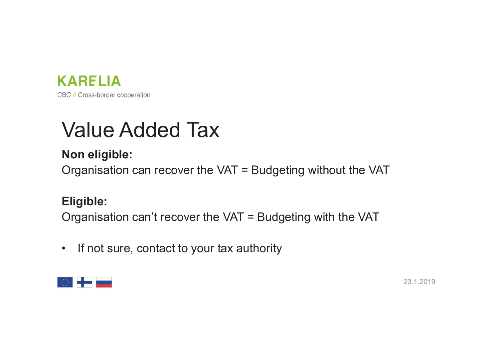

## **Example 2016**<br>BC // Cross-border cooperation<br>**Value Added Tax**<br>**Non eligible:**<br>Organisation can recover the VAT = Budgeting without the VA **KARELIA<br>BC // Cross-border cooperation**<br>**Value Added Tax**<br>Non eligible:<br>Organisation can recover the VAT = Budge

**KARELIA**<br>
Be<sup>n/Crossborder cooperation<br> **Value Added Tax**<br> **Non eligible:**<br>
Organisation can recover the VAT = Budgeting without the VAT<br>
Eligible:</sup> **KARELIA**<br>
De *N* Cross-border cooperation<br> **Value Added Tax**<br>
Organisation can recover the VAT = Budgeting without the VAT<br> **Eligible:**<br>
Organisation can't recover the VAT = Budgeting with the VAT<br>
• If not sure, contact **Value Added Tax**<br> **Non eligible:**<br>
Organisation can recover the VAT = Budgeting without the VAT<br> **Eligible:**<br>
Organisation can't recover the VAT = Budgeting with the VAT<br>
• If not sure, contact to your tax authority<br>
• H

#### Eligible: